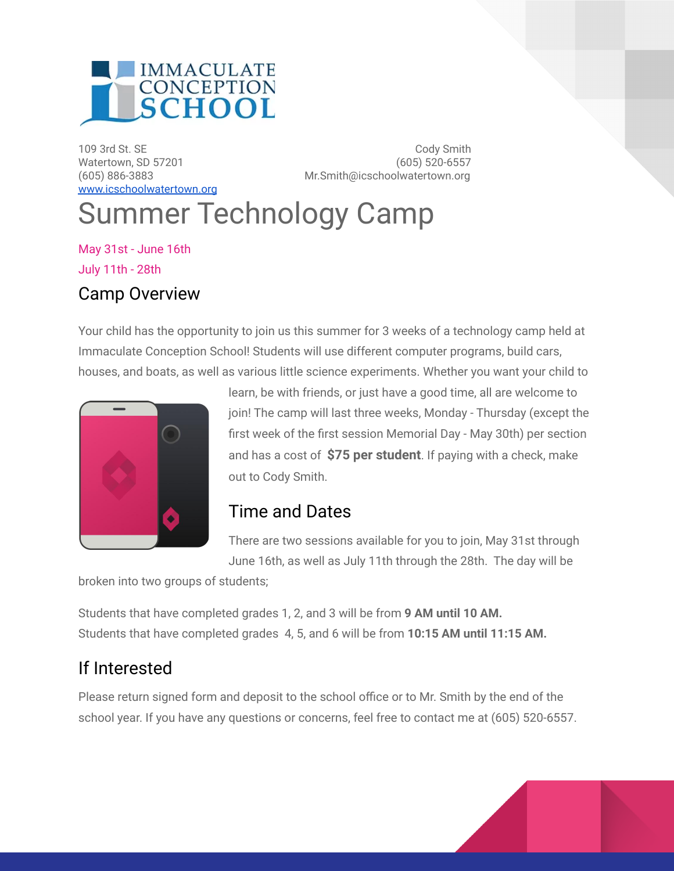

[www.icschoolwatertown.org](http://www.icschoolwatertown.org)

109 3rd St. SE Cody Smith Watertown, SD 57201 (605) 520-6557 (605) 886-3883 Mr.Smith@icschoolwatertown.org

## Summer Technology Camp

May 31st - June 16th July 11th - 28th Camp Overview

Your child has the opportunity to join us this summer for 3 weeks of a technology camp held at Immaculate Conception School! Students will use different computer programs, build cars, houses, and boats, as well as various little science experiments. Whether you want your child to



learn, be with friends, or just have a good time, all are welcome to join! The camp will last three weeks, Monday - Thursday (except the first week of the first session Memorial Day - May 30th) per section and has a cost of **\$75 per student**. If paying with a check, make out to Cody Smith.

## Time and Dates

There are two sessions available for you to join, May 31st through June 16th, as well as July 11th through the 28th. The day will be

broken into two groups of students;

Students that have completed grades 1, 2, and 3 will be from **9 AM until 10 AM.** Students that have completed grades 4, 5, and 6 will be from **10:15 AM until 11:15 AM.**

## If Interested

Please return signed form and deposit to the school office or to Mr. Smith by the end of the school year. If you have any questions or concerns, feel free to contact me at (605) 520-6557.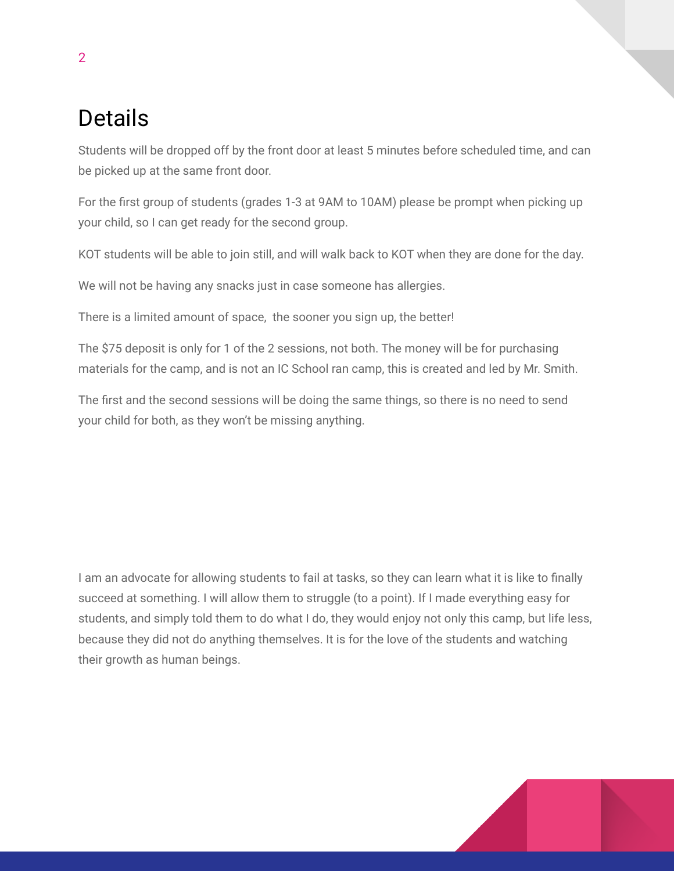## Details

Students will be dropped off by the front door at least 5 minutes before scheduled time, and can be picked up at the same front door.

For the first group of students (grades 1-3 at 9AM to 10AM) please be prompt when picking up your child, so I can get ready for the second group.

KOT students will be able to join still, and will walk back to KOT when they are done for the day.

We will not be having any snacks just in case someone has allergies.

There is a limited amount of space, the sooner you sign up, the better!

The \$75 deposit is only for 1 of the 2 sessions, not both. The money will be for purchasing materials for the camp, and is not an IC School ran camp, this is created and led by Mr. Smith.

The first and the second sessions will be doing the same things, so there is no need to send your child for both, as they won't be missing anything.

I am an advocate for allowing students to fail at tasks, so they can learn what it is like to finally succeed at something. I will allow them to struggle (to a point). If I made everything easy for students, and simply told them to do what I do, they would enjoy not only this camp, but life less, because they did not do anything themselves. It is for the love of the students and watching their growth as human beings.

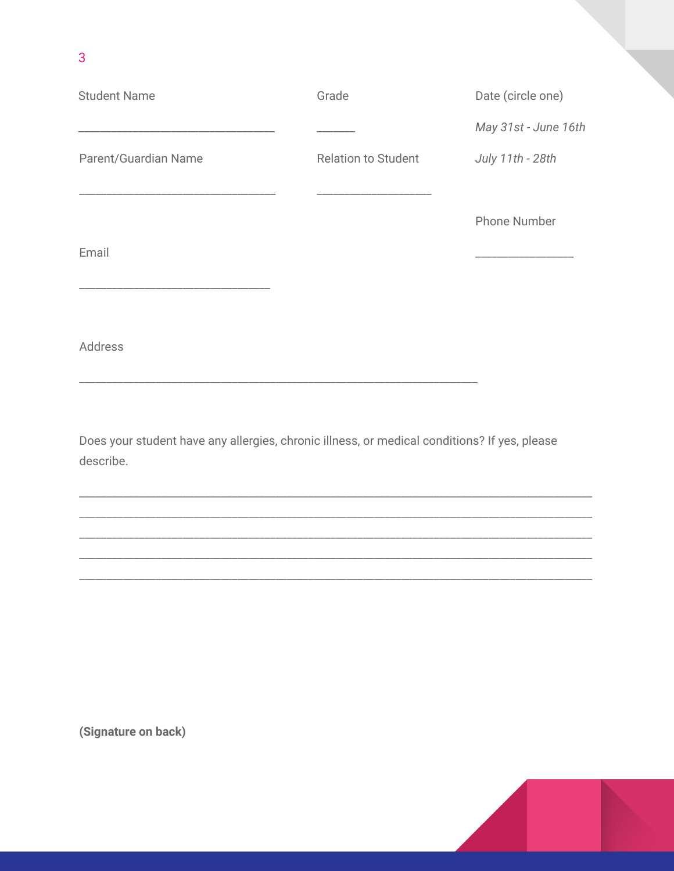| <b>Student Name</b>  | Grade                      | Date (circle one)    |
|----------------------|----------------------------|----------------------|
|                      |                            | May 31st - June 16th |
| Parent/Guardian Name | <b>Relation to Student</b> | July 11th - 28th     |
|                      |                            |                      |
|                      |                            | <b>Phone Number</b>  |
| Email                |                            |                      |
|                      |                            |                      |
|                      |                            |                      |

Address

3

Does your student have any allergies, chronic illness, or medical conditions? If yes, please describe.

(Signature on back)